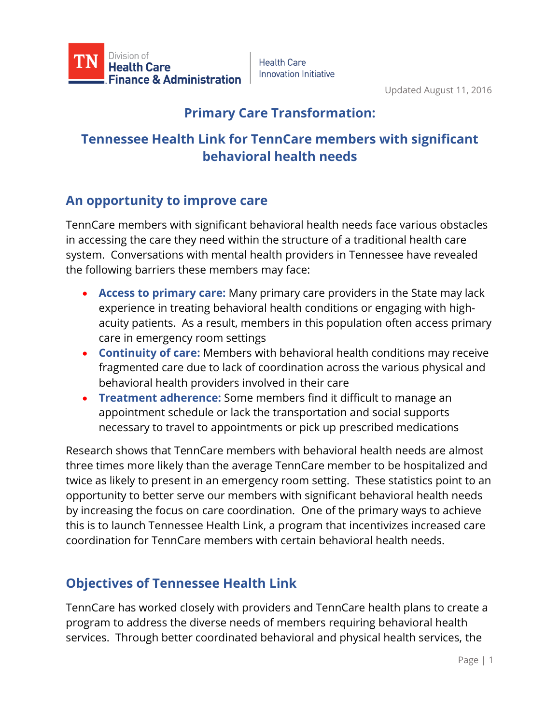**Health Care** Innovation Initiative

### **Primary Care Transformation:**

## **Tennessee Health Link for TennCare members with significant behavioral health needs**

### **An opportunity to improve care**

TennCare members with significant behavioral health needs face various obstacles in accessing the care they need within the structure of a traditional health care system. Conversations with mental health providers in Tennessee have revealed the following barriers these members may face:

- **Access to primary care:** Many primary care providers in the State may lack experience in treating behavioral health conditions or engaging with highacuity patients. As a result, members in this population often access primary care in emergency room settings
- **Continuity of care:** Members with behavioral health conditions may receive fragmented care due to lack of coordination across the various physical and behavioral health providers involved in their care
- **Treatment adherence:** Some members find it difficult to manage an appointment schedule or lack the transportation and social supports necessary to travel to appointments or pick up prescribed medications

Research shows that TennCare members with behavioral health needs are almost three times more likely than the average TennCare member to be hospitalized and twice as likely to present in an emergency room setting. These statistics point to an opportunity to better serve our members with significant behavioral health needs by increasing the focus on care coordination. One of the primary ways to achieve this is to launch Tennessee Health Link, a program that incentivizes increased care coordination for TennCare members with certain behavioral health needs.

## **Objectives of Tennessee Health Link**

TennCare has worked closely with providers and TennCare health plans to create a program to address the diverse needs of members requiring behavioral health services. Through better coordinated behavioral and physical health services, the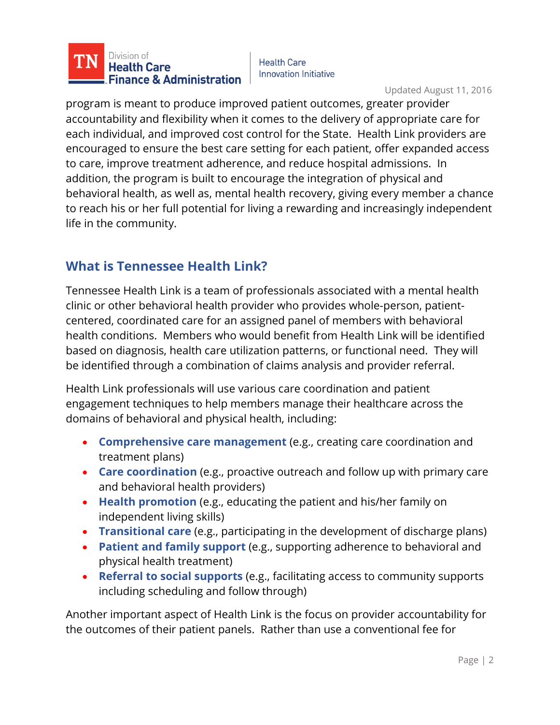#### Division of **Health Care Finance & Administration**

**Health Care** Innovation Initiative

Updated August 11, 2016

program is meant to produce improved patient outcomes, greater provider accountability and flexibility when it comes to the delivery of appropriate care for each individual, and improved cost control for the State. Health Link providers are encouraged to ensure the best care setting for each patient, offer expanded access to care, improve treatment adherence, and reduce hospital admissions. In addition, the program is built to encourage the integration of physical and behavioral health, as well as, mental health recovery, giving every member a chance to reach his or her full potential for living a rewarding and increasingly independent life in the community.

### **What is Tennessee Health Link?**

Tennessee Health Link is a team of professionals associated with a mental health clinic or other behavioral health provider who provides whole-person, patientcentered, coordinated care for an assigned panel of members with behavioral health conditions. Members who would benefit from Health Link will be identified based on diagnosis, health care utilization patterns, or functional need. They will be identified through a combination of claims analysis and provider referral.

Health Link professionals will use various care coordination and patient engagement techniques to help members manage their healthcare across the domains of behavioral and physical health, including:

- **Comprehensive care management** (e.g., creating care coordination and treatment plans)
- **Care coordination** (e.g., proactive outreach and follow up with primary care and behavioral health providers)
- **Health promotion** (e.g., educating the patient and his/her family on independent living skills)
- **Transitional care** (e.g., participating in the development of discharge plans)
- **Patient and family support** (e.g., supporting adherence to behavioral and physical health treatment)
- **Referral to social supports** (e.g., facilitating access to community supports including scheduling and follow through)

Another important aspect of Health Link is the focus on provider accountability for the outcomes of their patient panels. Rather than use a conventional fee for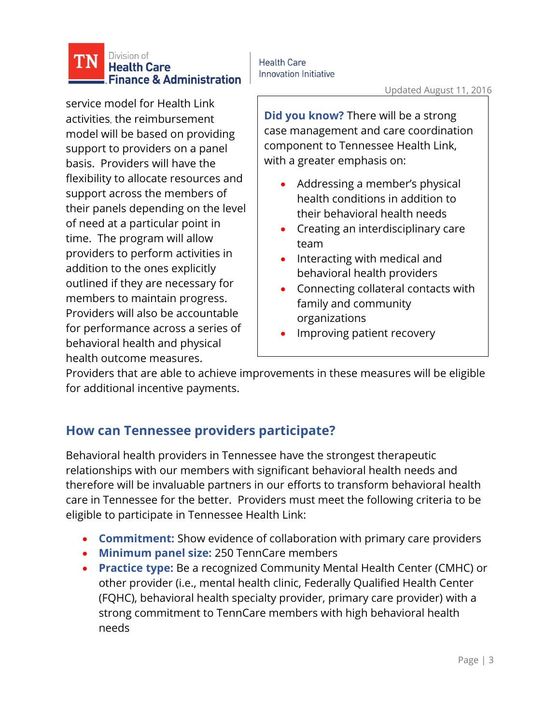#### Division of **Health Care Finance & Administration**

service model for Health Link activities, the reimbursement model will be based on providing support to providers on a panel basis. Providers will have the flexibility to allocate resources and support across the members of their panels depending on the level of need at a particular point in time. The program will allow providers to perform activities in addition to the ones explicitly outlined if they are necessary for members to maintain progress. Providers will also be accountable for performance across a series of behavioral health and physical health outcome measures.

**Health Care Innovation Initiative** 

**Did you know?** There will be a strong case management and care coordination component to Tennessee Health Link, with a greater emphasis on:

- Addressing a member's physical health conditions in addition to their behavioral health needs
- Creating an interdisciplinary care team
- Interacting with medical and behavioral health providers
- Connecting collateral contacts with family and community organizations
- Improving patient recovery

Providers that are able to achieve improvements in these measures will be eligible for additional incentive payments.

# **How can Tennessee providers participate?**

Behavioral health providers in Tennessee have the strongest therapeutic relationships with our members with significant behavioral health needs and therefore will be invaluable partners in our efforts to transform behavioral health care in Tennessee for the better. Providers must meet the following criteria to be eligible to participate in Tennessee Health Link:

- **Commitment:** Show evidence of collaboration with primary care providers
- **Minimum panel size:** 250 TennCare members
- **Practice type:** Be a recognized Community Mental Health Center (CMHC) or other provider (i.e., mental health clinic, Federally Qualified Health Center (FQHC), behavioral health specialty provider, primary care provider) with a strong commitment to TennCare members with high behavioral health needs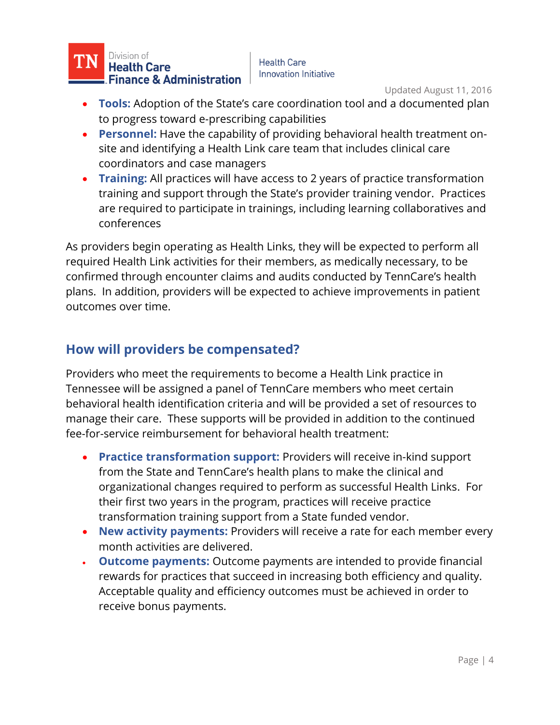#### Division of **Health Care Finance & Administration**

**Health Care Innovation Initiative** 

- **Tools:** Adoption of the State's care coordination tool and a documented plan to progress toward e-prescribing capabilities
- **Personnel:** Have the capability of providing behavioral health treatment onsite and identifying a Health Link care team that includes clinical care coordinators and case managers
- **Training:** All practices will have access to 2 years of practice transformation training and support through the State's provider training vendor. Practices are required to participate in trainings, including learning collaboratives and conferences

As providers begin operating as Health Links, they will be expected to perform all required Health Link activities for their members, as medically necessary, to be confirmed through encounter claims and audits conducted by TennCare's health plans. In addition, providers will be expected to achieve improvements in patient outcomes over time.

## **How will providers be compensated?**

Providers who meet the requirements to become a Health Link practice in Tennessee will be assigned a panel of TennCare members who meet certain behavioral health identification criteria and will be provided a set of resources to manage their care. These supports will be provided in addition to the continued fee-for-service reimbursement for behavioral health treatment:

- **Practice transformation support:** Providers will receive in-kind support from the State and TennCare's health plans to make the clinical and organizational changes required to perform as successful Health Links. For their first two years in the program, practices will receive practice transformation training support from a State funded vendor.
- **New activity payments:** Providers will receive a rate for each member every month activities are delivered.
- **Outcome payments:** Outcome payments are intended to provide financial rewards for practices that succeed in increasing both efficiency and quality. Acceptable quality and efficiency outcomes must be achieved in order to receive bonus payments.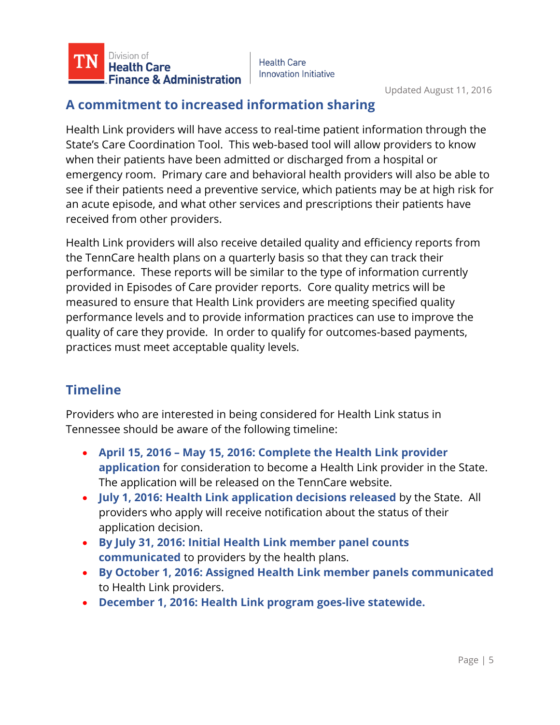

**Health Care Innovation Initiative** 

### **A commitment to increased information sharing**

Health Link providers will have access to real-time patient information through the State's Care Coordination Tool. This web-based tool will allow providers to know when their patients have been admitted or discharged from a hospital or emergency room. Primary care and behavioral health providers will also be able to see if their patients need a preventive service, which patients may be at high risk for an acute episode, and what other services and prescriptions their patients have received from other providers.

Health Link providers will also receive detailed quality and efficiency reports from the TennCare health plans on a quarterly basis so that they can track their performance. These reports will be similar to the type of information currently provided in Episodes of Care provider reports. Core quality metrics will be measured to ensure that Health Link providers are meeting specified quality performance levels and to provide information practices can use to improve the quality of care they provide. In order to qualify for outcomes-based payments, practices must meet acceptable quality levels.

## **Timeline**

Providers who are interested in being considered for Health Link status in Tennessee should be aware of the following timeline:

- **April 15, 2016 – May 15, 2016: Complete the Health Link provider application** for consideration to become a Health Link provider in the State. The application will be released on the TennCare website.
- **July 1, 2016: Health Link application decisions released** by the State. All providers who apply will receive notification about the status of their application decision.
- **By July 31, 2016: Initial Health Link member panel counts communicated** to providers by the health plans.
- **By October 1, 2016: Assigned Health Link member panels communicated**  to Health Link providers.
- **December 1, 2016: Health Link program goes-live statewide.**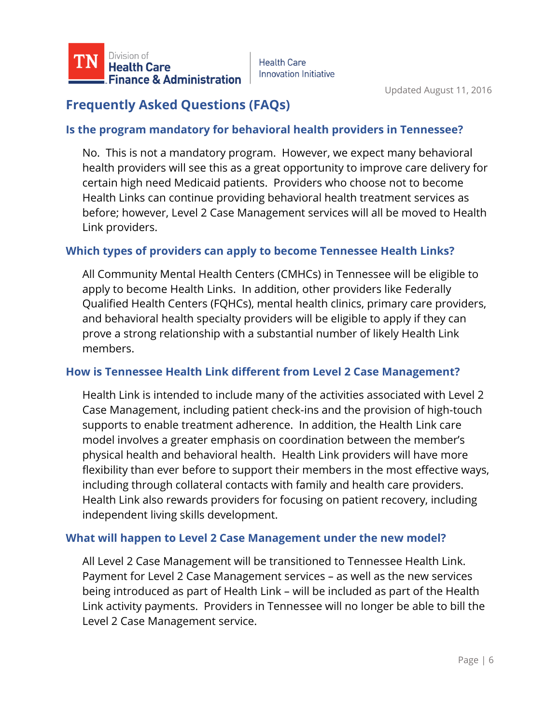## **Frequently Asked Questions (FAQs)**

#### **Is the program mandatory for behavioral health providers in Tennessee?**

No. This is not a mandatory program. However, we expect many behavioral health providers will see this as a great opportunity to improve care delivery for certain high need Medicaid patients. Providers who choose not to become Health Links can continue providing behavioral health treatment services as before; however, Level 2 Case Management services will all be moved to Health Link providers.

#### **Which types of providers can apply to become Tennessee Health Links?**

All Community Mental Health Centers (CMHCs) in Tennessee will be eligible to apply to become Health Links. In addition, other providers like Federally Qualified Health Centers (FQHCs), mental health clinics, primary care providers, and behavioral health specialty providers will be eligible to apply if they can prove a strong relationship with a substantial number of likely Health Link members.

#### **How is Tennessee Health Link different from Level 2 Case Management?**

Health Link is intended to include many of the activities associated with Level 2 Case Management, including patient check-ins and the provision of high-touch supports to enable treatment adherence. In addition, the Health Link care model involves a greater emphasis on coordination between the member's physical health and behavioral health. Health Link providers will have more flexibility than ever before to support their members in the most effective ways, including through collateral contacts with family and health care providers. Health Link also rewards providers for focusing on patient recovery, including independent living skills development.

#### **What will happen to Level 2 Case Management under the new model?**

All Level 2 Case Management will be transitioned to Tennessee Health Link. Payment for Level 2 Case Management services – as well as the new services being introduced as part of Health Link – will be included as part of the Health Link activity payments. Providers in Tennessee will no longer be able to bill the Level 2 Case Management service.